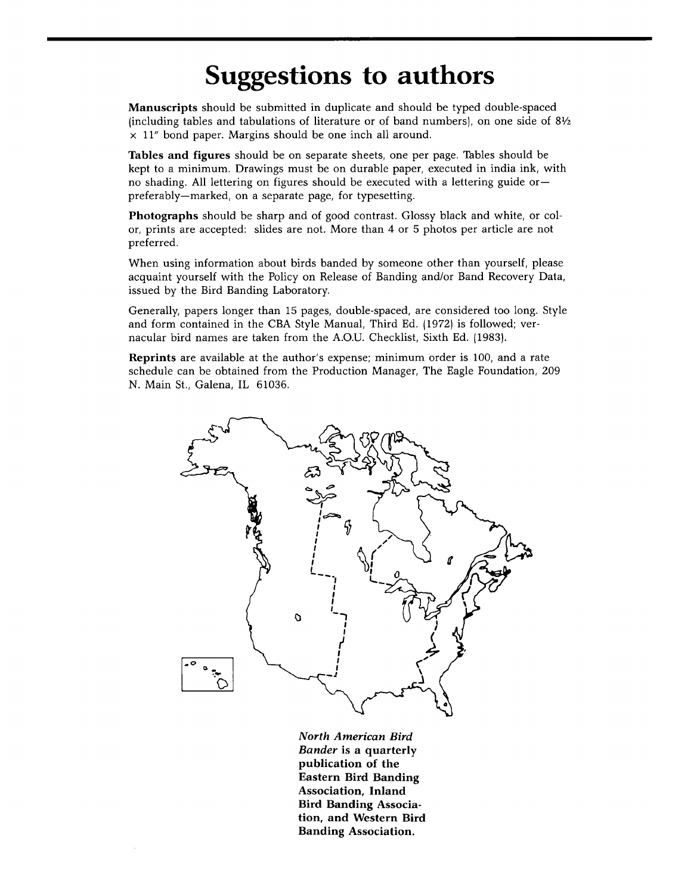## **Suggestions to authors**

**Manuscripts should be submitted in duplicate and should be typed double-spaced {including tables and tabulations of literature or of band numbers}, on one side of 8Vz x 11" bond paper. Margins should be one inch all around.** 

**Tables and figures should be on separate sheets, one per page. Tables should be kept to a minimum. Drawings must be on durable paper, executed in india ink, with no shading. All lettering on figures should be executed with a lettering guide or- preferably--marked, on a separate page, for typesetting.** 

**Photographs should be sharp and of good contrast. Glossy black and white, or color, prints are accepted: slides are not. More than 4 or 5 photos per article are not preferred.** 

**When using information about birds banded by someone other than yourself, please acquaint yourself with the Policy on Release of Banding and/or Band Recovery Data, issued by the Bird Banding Laboratory.** 

**Generally, papers longer than 15 pages, double-spaced, are considered too long. Style and form contained in the CBA Style Manual, Third Ed. 11972} is followed; vernacular bird names are taken from the A.O.U. Checklist, Sixth Ed. 11983}.** 

**Reprints are available at the author's expense; minimum order is 100, and a rate schedule can be obtained from the Production Manager, The Eagle Foundation, 209 N. Main St., Galena, IL 61036.** 



**North American Bird Bander is a quarterly publication of the Eastern Bird Banding Association, Inland Bird Banding Association, and Western Bird Banding Association.**